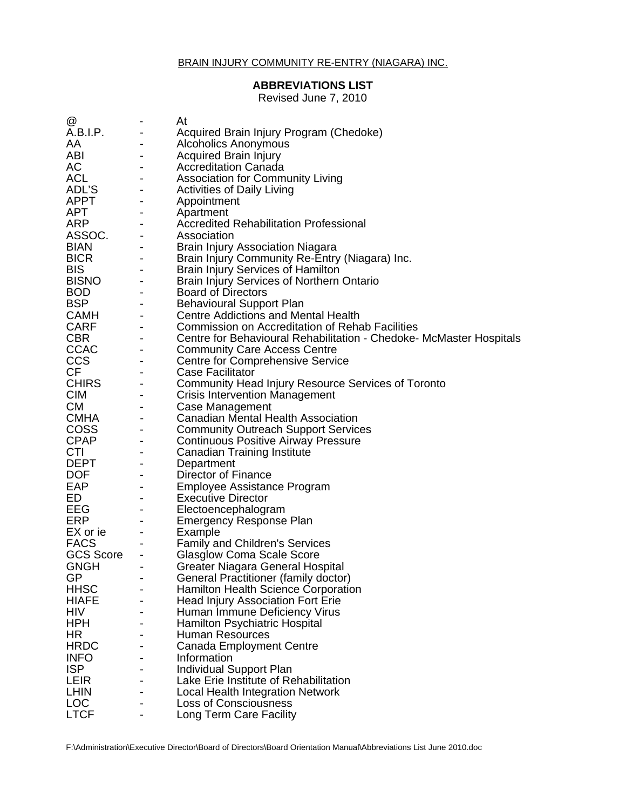## **ABBREVIATIONS LIST**

Revised June 7, 2010

| @                     |                          | At                                                                  |
|-----------------------|--------------------------|---------------------------------------------------------------------|
| A.B.I.P.              | $\overline{\phantom{a}}$ | Acquired Brain Injury Program (Chedoke)                             |
| AA                    |                          | <b>Alcoholics Anonymous</b>                                         |
| ABI                   | $\blacksquare$           | <b>Acquired Brain Injury</b>                                        |
| AC                    | $\blacksquare$           | <b>Accreditation Canada</b>                                         |
| <b>ACL</b>            | $\blacksquare$           | <b>Association for Community Living</b>                             |
| ADL'S                 | $\overline{\phantom{a}}$ | <b>Activities of Daily Living</b>                                   |
| APPT                  | $\overline{\phantom{a}}$ | Appointment                                                         |
| APT                   | $\overline{\phantom{a}}$ | Apartment                                                           |
| ANT<br>ASSOC.<br>BIAN |                          | <b>Accredited Rehabilitation Professional</b>                       |
|                       | $\overline{\phantom{a}}$ | Association                                                         |
|                       | $\blacksquare$           | <b>Brain Injury Association Niagara</b>                             |
| <b>BICR</b>           | $\overline{\phantom{a}}$ | Brain Injury Community Re-Entry (Niagara) Inc.                      |
| <b>BIS</b>            | $\overline{\phantom{a}}$ | <b>Brain Injury Services of Hamilton</b>                            |
| <b>BISNO</b>          |                          | Brain Injury Services of Northern Ontario                           |
|                       | $\overline{\phantom{a}}$ | <b>Board of Directors</b>                                           |
| $\overline{BSP}$      |                          | <b>Behavioural Support Plan</b>                                     |
| <b>CAMH</b>           |                          | <b>Centre Addictions and Mental Health</b>                          |
| <b>CARF</b>           | $\blacksquare$           | <b>Commission on Accreditation of Rehab Facilities</b>              |
| <b>CBR</b>            | $\overline{\phantom{a}}$ | Centre for Behavioural Rehabilitation - Chedoke- McMaster Hospitals |
| <b>CCAC</b>           | $\overline{\phantom{a}}$ | <b>Community Care Access Centre</b>                                 |
| <b>CCS</b>            | $\overline{\phantom{a}}$ | <b>Centre for Comprehensive Service</b>                             |
| CF                    | $\overline{\phantom{a}}$ | Case Facilitator                                                    |
| CHIRS<br>CIM          | $\overline{\phantom{a}}$ | Community Head Injury Resource Services of Toronto                  |
|                       | $\overline{\phantom{a}}$ | <b>Crisis Intervention Management</b>                               |
| <b>CM</b>             | $\overline{\phantom{a}}$ | Case Management                                                     |
| CMHA                  | $\overline{\phantom{a}}$ | <b>Canadian Mental Health Association</b>                           |
| <b>COSS</b>           | $\blacksquare$           | <b>Community Outreach Support Services</b>                          |
| <b>CPAP</b>           | $\blacksquare$           | <b>Continuous Positive Airway Pressure</b>                          |
| CTI                   | $\overline{\phantom{a}}$ | <b>Canadian Training Institute</b>                                  |
|                       |                          | Department                                                          |
| DEPT<br>DOF           | $\overline{\phantom{a}}$ | Director of Finance                                                 |
| EAP                   |                          | Employee Assistance Program                                         |
| ED                    | $\blacksquare$           | <b>Executive Director</b>                                           |
| <b>EEG</b>            | $\overline{\phantom{a}}$ | Electoencephalogram                                                 |
| <b>ERP</b>            | $\overline{\phantom{a}}$ | <b>Emergency Response Plan</b>                                      |
| EX or ie              | $\overline{\phantom{a}}$ | Example                                                             |
| <b>FACS</b>           |                          | <b>Family and Children's Services</b>                               |
| <b>GCS Score</b>      | $\overline{\phantom{a}}$ | <b>Glasglow Coma Scale Score</b>                                    |
| <b>GNGH</b>           | $\overline{\phantom{a}}$ | Greater Niagara General Hospital                                    |
| GP                    |                          | General Practitioner (family doctor)                                |
| <b>HHSC</b>           |                          | <b>Hamilton Health Science Corporation</b>                          |
| <b>HIAFE</b>          |                          | <b>Head Injury Association Fort Erie</b>                            |
| HIV                   |                          | Human Immune Deficiency Virus                                       |
| <b>HPH</b>            |                          | Hamilton Psychiatric Hospital                                       |
| HR                    |                          | <b>Human Resources</b>                                              |
| <b>HRDC</b>           |                          | <b>Canada Employment Centre</b>                                     |
| <b>INFO</b>           |                          | Information                                                         |
| <b>ISP</b>            |                          | Individual Support Plan                                             |
| LEIR                  |                          | Lake Erie Institute of Rehabilitation                               |
| <b>LHIN</b>           |                          | <b>Local Health Integration Network</b>                             |
| <b>LOC</b>            |                          | <b>Loss of Consciousness</b>                                        |
| <b>LTCF</b>           |                          | Long Term Care Facility                                             |

F:\Administration\Executive Director\Board of Directors\Board Orientation Manual\Abbreviations List June 2010.doc